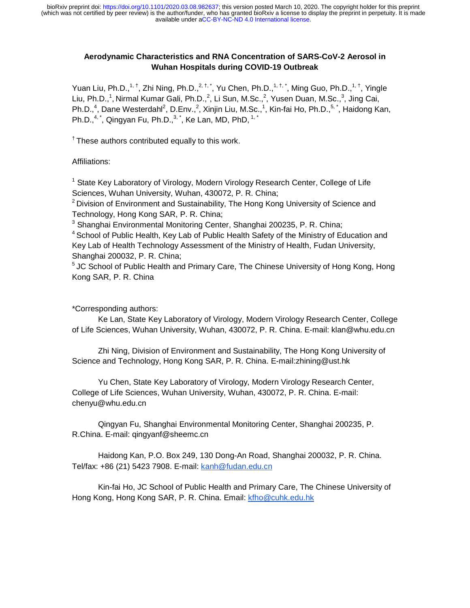available under [aCC-BY-NC-ND 4.0 International license.](http://creativecommons.org/licenses/by-nc-nd/4.0/) (which was not certified by peer review) is the author/funder, who has granted bioRxiv a license to display the preprint in perpetuity. It is made bioRxiv preprint doi: [https://doi.org/10.1101/2020.03.08.982637;](https://doi.org/10.1101/2020.03.08.982637) this version posted March 10, 2020. The copyright holder for this preprint

### **Aerodynamic Characteristics and RNA Concentration of SARS-CoV-2 Aerosol in Wuhan Hospitals during COVID-19 Outbreak**

Yuan Liu, Ph.D.,<sup>1, †</sup>, Zhi Ning, Ph.D.,<sup>2, †, \*</sup>, Yu Chen, Ph.D.,<sup>1, †, \*</sup>, Ming Guo, Ph.D.,<sup>1, †</sup>, Yingle Liu, Ph.D.,<sup>1</sup>, Nirmal Kumar Gali, Ph.D.,<sup>2</sup>, Li Sun, M.Sc.,<sup>2</sup>, Yusen Duan, M.Sc.,<sup>3</sup>, Jing Cai, Ph.D.,<sup>4</sup>, Dane Westerdahl<sup>2</sup>, D.Env.,<sup>2</sup>, Xinjin Liu, M.Sc.,<sup>1</sup>, Kin-fai Ho, Ph.D.,<sup>5,\*</sup>, Haidong Kan, Ph.D., $4$ <sup>\*</sup>, Qingyan Fu, Ph.D., $3$ <sup>\*</sup>, Ke Lan, MD, PhD,  $1$ <sup>\*</sup>

 $<sup>†</sup>$  These authors contributed equally to this work.</sup>

Affiliations:

<sup>1</sup> State Key Laboratory of Virology, Modern Virology Research Center, College of Life Sciences, Wuhan University, Wuhan, 430072, P. R. China;

 $2$  Division of Environment and Sustainability, The Hong Kong University of Science and Technology, Hong Kong SAR, P. R. China;

<sup>3</sup> Shanghai Environmental Monitoring Center, Shanghai 200235, P. R. China;

<sup>4</sup> School of Public Health, Key Lab of Public Health Safety of the Ministry of Education and Key Lab of Health Technology Assessment of the Ministry of Health, Fudan University, Shanghai 200032, P. R. China;

 $5$  JC School of Public Health and Primary Care, The Chinese University of Hong Kong, Hong Kong SAR, P. R. China

#### \*Corresponding authors:

Ke Lan, State Key Laboratory of Virology, Modern Virology Research Center, College of Life Sciences, Wuhan University, Wuhan, 430072, P. R. China. E-mail: klan@whu.edu.cn

Zhi Ning, Division of Environment and Sustainability, The Hong Kong University of Science and Technology, Hong Kong SAR, P. R. China. E-mail:zhining@ust.hk

Yu Chen, State Key Laboratory of Virology, Modern Virology Research Center, College of Life Sciences, Wuhan University, Wuhan, 430072, P. R. China. E-mail: chenyu@whu.edu.cn

Qingyan Fu, Shanghai Environmental Monitoring Center, Shanghai 200235, P. R.China. E-mail: qingyanf@sheemc.cn

Haidong Kan, P.O. Box 249, 130 Dong-An Road, Shanghai 200032, P. R. China. Tel/fax: +86 (21) 5423 7908. E-mail: kanh@fudan.edu.cn

Kin-fai Ho, JC School of Public Health and Primary Care, The Chinese University of Hong Kong, Hong Kong SAR, P. R. China. Email: kfho@cuhk.edu.hk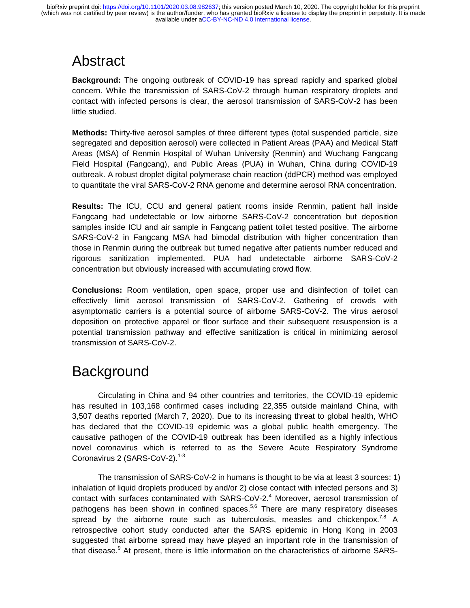# Abstract

**Background:** The ongoing outbreak of COVID-19 has spread rapidly and sparked global concern. While the transmission of SARS-CoV-2 through human respiratory droplets and contact with infected persons is clear, the aerosol transmission of SARS-CoV-2 has been little studied.

**Methods:** Thirty-five aerosol samples of three different types (total suspended particle, size segregated and deposition aerosol) were collected in Patient Areas (PAA) and Medical Staff Areas (MSA) of Renmin Hospital of Wuhan University (Renmin) and Wuchang Fangcang Field Hospital (Fangcang), and Public Areas (PUA) in Wuhan, China during COVID-19 outbreak. A robust droplet digital polymerase chain reaction (ddPCR) method was employed to quantitate the viral SARS-CoV-2 RNA genome and determine aerosol RNA concentration.

**Results:** The ICU, CCU and general patient rooms inside Renmin, patient hall inside Fangcang had undetectable or low airborne SARS-CoV-2 concentration but deposition samples inside ICU and air sample in Fangcang patient toilet tested positive. The airborne SARS-CoV-2 in Fangcang MSA had bimodal distribution with higher concentration than those in Renmin during the outbreak but turned negative after patients number reduced and rigorous sanitization implemented. PUA had undetectable airborne SARS-CoV-2 concentration but obviously increased with accumulating crowd flow.

**Conclusions:** Room ventilation, open space, proper use and disinfection of toilet can effectively limit aerosol transmission of SARS-CoV-2. Gathering of crowds with asymptomatic carriers is a potential source of airborne SARS-CoV-2. The virus aerosol deposition on protective apparel or floor surface and their subsequent resuspension is a potential transmission pathway and effective sanitization is critical in minimizing aerosol transmission of SARS-CoV-2.

# **Background**

Circulating in China and 94 other countries and territories, the COVID-19 epidemic has resulted in 103,168 confirmed cases including 22,355 outside mainland China, with 3,507 deaths reported (March 7, 2020). Due to its increasing threat to global health, WHO has declared that the COVID-19 epidemic was a global public health emergency. The causative pathogen of the COVID-19 outbreak has been identified as a highly infectious novel coronavirus which is referred to as the Severe Acute Respiratory Syndrome Coronavirus 2 (SARS-CoV-2).<sup>1-3</sup>

The transmission of SARS-CoV-2 in humans is thought to be via at least 3 sources: 1) inhalation of liquid droplets produced by and/or 2) close contact with infected persons and 3) contact with surfaces contaminated with SARS-CoV-2.<sup>4</sup> Moreover, aerosol transmission of pathogens has been shown in confined spaces.<sup>5,6</sup> There are many respiratory diseases spread by the airborne route such as tuberculosis, measles and chickenpox.<sup>7,8</sup> A retrospective cohort study conducted after the SARS epidemic in Hong Kong in 2003 suggested that airborne spread may have played an important role in the transmission of that disease.<sup>9</sup> At present, there is little information on the characteristics of airborne SARS-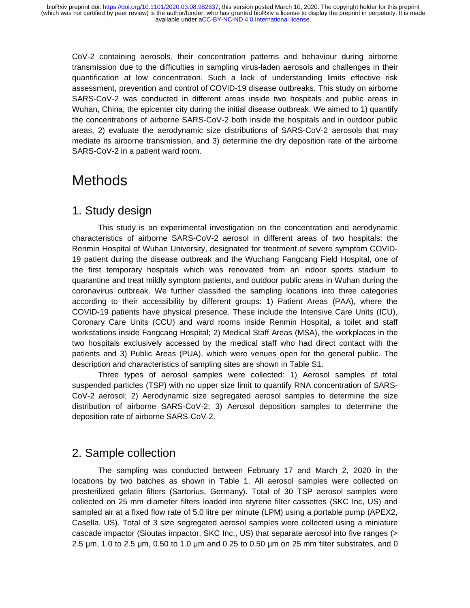CoV-2 containing aerosols, their concentration patterns and behaviour during airborne transmission due to the difficulties in sampling virus-laden aerosols and challenges in their quantification at low concentration. Such a lack of understanding limits effective risk assessment, prevention and control of COVID-19 disease outbreaks. This study on airborne SARS-CoV-2 was conducted in different areas inside two hospitals and public areas in Wuhan, China, the epicenter city during the initial disease outbreak. We aimed to 1) quantify the concentrations of airborne SARS-CoV-2 both inside the hospitals and in outdoor public areas, 2) evaluate the aerodynamic size distributions of SARS-CoV-2 aerosols that may mediate its airborne transmission, and 3) determine the dry deposition rate of the airborne SARS-CoV-2 in a patient ward room.

# **Methods**

### 1. Study design

This study is an experimental investigation on the concentration and aerodynamic characteristics of airborne SARS-CoV-2 aerosol in different areas of two hospitals: the Renmin Hospital of Wuhan University, designated for treatment of severe symptom COVID-19 patient during the disease outbreak and the Wuchang Fangcang Field Hospital, one of the first temporary hospitals which was renovated from an indoor sports stadium to quarantine and treat mildly symptom patients, and outdoor public areas in Wuhan during the coronavirus outbreak. We further classified the sampling locations into three categories according to their accessibility by different groups: 1) Patient Areas (PAA), where the COVID-19 patients have physical presence. These include the Intensive Care Units (ICU), Coronary Care Units (CCU) and ward rooms inside Renmin Hospital, a toilet and staff workstations inside Fangcang Hospital; 2) Medical Staff Areas (MSA), the workplaces in the two hospitals exclusively accessed by the medical staff who had direct contact with the patients and 3) Public Areas (PUA), which were venues open for the general public. The description and characteristics of sampling sites are shown in Table S1.

Three types of aerosol samples were collected: 1) Aerosol samples of total suspended particles (TSP) with no upper size limit to quantify RNA concentration of SARS-CoV-2 aerosol; 2) Aerodynamic size segregated aerosol samples to determine the size distribution of airborne SARS-CoV-2; 3) Aerosol deposition samples to determine the deposition rate of airborne SARS-CoV-2.

### 2. Sample collection

The sampling was conducted between February 17 and March 2, 2020 in the locations by two batches as shown in Table 1. All aerosol samples were collected on presterilized gelatin filters (Sartorius, Germany). Total of 30 TSP aerosol samples were collected on 25 mm diameter filters loaded into styrene filter cassettes (SKC Inc, US) and sampled air at a fixed flow rate of 5.0 litre per minute (LPM) using a portable pump (APEX2, Casella, US). Total of 3 size segregated aerosol samples were collected using a miniature cascade impactor (Sioutas impactor, SKC Inc., US) that separate aerosol into five ranges (> 2.5  $\mu$ m, 1.0 to 2.5  $\mu$ m, 0.50 to 1.0  $\mu$ m and 0.25 to 0.50  $\mu$ m on 25 mm filter substrates, and 0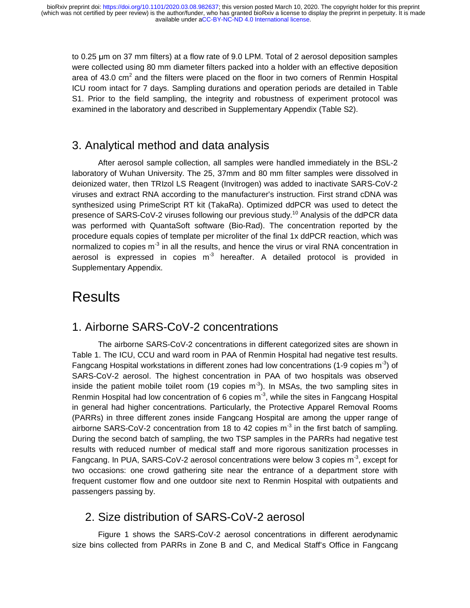to 0.25 μm on 37 mm filters) at a flow rate of 9.0 LPM. Total of 2 aerosol deposition samples were collected using 80 mm diameter filters packed into a holder with an effective deposition area of 43.0 cm<sup>2</sup> and the filters were placed on the floor in two corners of Renmin Hospital ICU room intact for 7 days. Sampling durations and operation periods are detailed in Table S1. Prior to the field sampling, the integrity and robustness of experiment protocol was examined in the laboratory and described in Supplementary Appendix (Table S2).

### 3. Analytical method and data analysis

After aerosol sample collection, all samples were handled immediately in the BSL-2 laboratory of Wuhan University. The 25, 37mm and 80 mm filter samples were dissolved in deionized water, then TRIzol LS Reagent (Invitrogen) was added to inactivate SARS-CoV-2 viruses and extract RNA according to the manufacturer's instruction. First strand cDNA was synthesized using PrimeScript RT kit (TakaRa). Optimized ddPCR was used to detect the presence of SARS-CoV-2 viruses following our previous study.<sup>10</sup> Analysis of the ddPCR data was performed with QuantaSoft software (Bio-Rad). The concentration reported by the procedure equals copies of template per microliter of the final 1x ddPCR reaction, which was normalized to copies  $m<sup>3</sup>$  in all the results, and hence the virus or viral RNA concentration in aerosol is expressed in copies  $m<sup>3</sup>$  hereafter. A detailed protocol is provided in Supplementary Appendix.

## **Results**

### 1. Airborne SARS-CoV-2 concentrations

The airborne SARS-CoV-2 concentrations in different categorized sites are shown in Table 1. The ICU, CCU and ward room in PAA of Renmin Hospital had negative test results. Fangcang Hospital workstations in different zones had low concentrations (1-9 copies  $m^{-3}$ ) of SARS-CoV-2 aerosol. The highest concentration in PAA of two hospitals was observed inside the patient mobile toilet room (19 copies  $m<sup>3</sup>$ ). In MSAs, the two sampling sites in Renmin Hospital had low concentration of 6 copies  $m<sup>-3</sup>$ , while the sites in Fangcang Hospital in general had higher concentrations. Particularly, the Protective Apparel Removal Rooms (PARRs) in three different zones inside Fangcang Hospital are among the upper range of airborne SARS-CoV-2 concentration from 18 to 42 copies  $m<sup>3</sup>$  in the first batch of sampling. During the second batch of sampling, the two TSP samples in the PARRs had negative test results with reduced number of medical staff and more rigorous sanitization processes in Fangcang. In PUA, SARS-CoV-2 aerosol concentrations were below 3 copies  $m<sup>3</sup>$ , except for two occasions: one crowd gathering site near the entrance of a department store with frequent customer flow and one outdoor site next to Renmin Hospital with outpatients and passengers passing by.

## 2. Size distribution of SARS-CoV-2 aerosol

Figure 1 shows the SARS-CoV-2 aerosol concentrations in different aerodynamic size bins collected from PARRs in Zone B and C, and Medical Staff's Office in Fangcang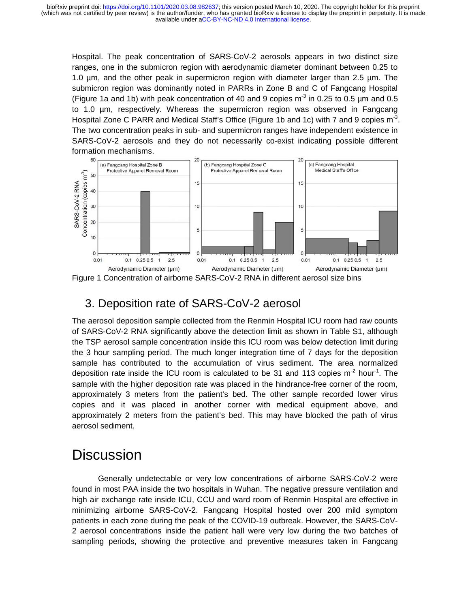Hospital. The peak concentration of SARS-CoV-2 aerosols appears in two distinct size ranges, one in the submicron region with aerodynamic diameter dominant between 0.25 to 1.0 µm, and the other peak in supermicron region with diameter larger than 2.5 µm. The submicron region was dominantly noted in PARRs in Zone B and C of Fangcang Hospital (Figure 1a and 1b) with peak concentration of 40 and 9 copies  $m<sup>-3</sup>$  in 0.25 to 0.5 µm and 0.5 to 1.0 µm, respectively. Whereas the supermicron region was observed in Fangcang Hospital Zone C PARR and Medical Staff's Office (Figure 1b and 1c) with 7 and 9 copies  $m<sup>3</sup>$ . The two concentration peaks in sub- and supermicron ranges have independent existence in SARS-CoV-2 aerosols and they do not necessarily co-exist indicating possible different formation mechanisms.



Figure 1 Concentration of airborne SARS-CoV-2 RNA in different aerosol size bins

## 3. Deposition rate of SARS-CoV-2 aerosol

The aerosol deposition sample collected from the Renmin Hospital ICU room had raw counts of SARS-CoV-2 RNA significantly above the detection limit as shown in Table S1, although the TSP aerosol sample concentration inside this ICU room was below detection limit during the 3 hour sampling period. The much longer integration time of 7 days for the deposition sample has contributed to the accumulation of virus sediment. The area normalized deposition rate inside the ICU room is calculated to be 31 and 113 copies  $m<sup>2</sup>$  hour<sup>-1</sup>. The sample with the higher deposition rate was placed in the hindrance-free corner of the room, approximately 3 meters from the patient's bed. The other sample recorded lower virus copies and it was placed in another corner with medical equipment above, and approximately 2 meters from the patient's bed. This may have blocked the path of virus aerosol sediment.

# **Discussion**

Generally undetectable or very low concentrations of airborne SARS-CoV-2 were found in most PAA inside the two hospitals in Wuhan. The negative pressure ventilation and high air exchange rate inside ICU, CCU and ward room of Renmin Hospital are effective in minimizing airborne SARS-CoV-2. Fangcang Hospital hosted over 200 mild symptom patients in each zone during the peak of the COVID-19 outbreak. However, the SARS-CoV-2 aerosol concentrations inside the patient hall were very low during the two batches of sampling periods, showing the protective and preventive measures taken in Fangcang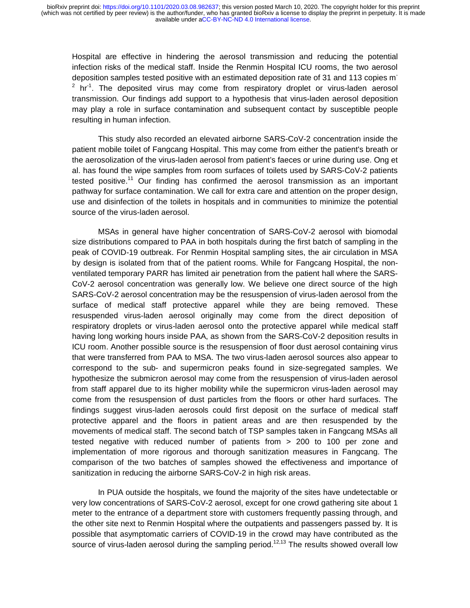Hospital are effective in hindering the aerosol transmission and reducing the potential infection risks of the medical staff. Inside the Renmin Hospital ICU rooms, the two aerosol deposition samples tested positive with an estimated deposition rate of 31 and 113 copies m- $2$  hr<sup>-1</sup>. The deposited virus may come from respiratory droplet or virus-laden aerosol transmission. Our findings add support to a hypothesis that virus-laden aerosol deposition may play a role in surface contamination and subsequent contact by susceptible people resulting in human infection.

This study also recorded an elevated airborne SARS-CoV-2 concentration inside the patient mobile toilet of Fangcang Hospital. This may come from either the patient's breath or the aerosolization of the virus-laden aerosol from patient's faeces or urine during use. Ong et al. has found the wipe samples from room surfaces of toilets used by SARS-CoV-2 patients tested positive.<sup>11</sup> Our finding has confirmed the aerosol transmission as an important pathway for surface contamination. We call for extra care and attention on the proper design, use and disinfection of the toilets in hospitals and in communities to minimize the potential source of the virus-laden aerosol.

MSAs in general have higher concentration of SARS-CoV-2 aerosol with biomodal size distributions compared to PAA in both hospitals during the first batch of sampling in the peak of COVID-19 outbreak. For Renmin Hospital sampling sites, the air circulation in MSA by design is isolated from that of the patient rooms. While for Fangcang Hospital, the nonventilated temporary PARR has limited air penetration from the patient hall where the SARS-CoV-2 aerosol concentration was generally low. We believe one direct source of the high SARS-CoV-2 aerosol concentration may be the resuspension of virus-laden aerosol from the surface of medical staff protective apparel while they are being removed. These resuspended virus-laden aerosol originally may come from the direct deposition of respiratory droplets or virus-laden aerosol onto the protective apparel while medical staff having long working hours inside PAA, as shown from the SARS-CoV-2 deposition results in ICU room. Another possible source is the resuspension of floor dust aerosol containing virus that were transferred from PAA to MSA. The two virus-laden aerosol sources also appear to correspond to the sub- and supermicron peaks found in size-segregated samples. We hypothesize the submicron aerosol may come from the resuspension of virus-laden aerosol from staff apparel due to its higher mobility while the supermicron virus-laden aerosol may come from the resuspension of dust particles from the floors or other hard surfaces. The findings suggest virus-laden aerosols could first deposit on the surface of medical staff protective apparel and the floors in patient areas and are then resuspended by the movements of medical staff. The second batch of TSP samples taken in Fangcang MSAs all tested negative with reduced number of patients from > 200 to 100 per zone and implementation of more rigorous and thorough sanitization measures in Fangcang. The comparison of the two batches of samples showed the effectiveness and importance of sanitization in reducing the airborne SARS-CoV-2 in high risk areas.

In PUA outside the hospitals, we found the majority of the sites have undetectable or very low concentrations of SARS-CoV-2 aerosol, except for one crowd gathering site about 1 meter to the entrance of a department store with customers frequently passing through, and the other site next to Renmin Hospital where the outpatients and passengers passed by. It is possible that asymptomatic carriers of COVID-19 in the crowd may have contributed as the source of virus-laden aerosol during the sampling period.<sup>12,13</sup> The results showed overall low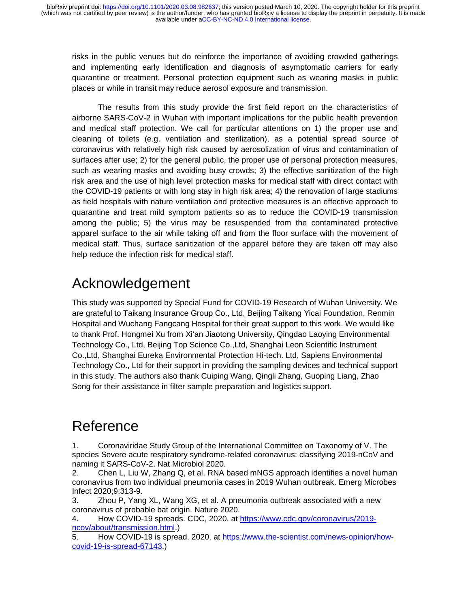risks in the public venues but do reinforce the importance of avoiding crowded gatherings and implementing early identification and diagnosis of asymptomatic carriers for early quarantine or treatment. Personal protection equipment such as wearing masks in public places or while in transit may reduce aerosol exposure and transmission.

The results from this study provide the first field report on the characteristics of airborne SARS-CoV-2 in Wuhan with important implications for the public health prevention and medical staff protection. We call for particular attentions on 1) the proper use and cleaning of toilets (e.g. ventilation and sterilization), as a potential spread source of coronavirus with relatively high risk caused by aerosolization of virus and contamination of surfaces after use; 2) for the general public, the proper use of personal protection measures, such as wearing masks and avoiding busy crowds; 3) the effective sanitization of the high risk area and the use of high level protection masks for medical staff with direct contact with the COVID-19 patients or with long stay in high risk area; 4) the renovation of large stadiums as field hospitals with nature ventilation and protective measures is an effective approach to quarantine and treat mild symptom patients so as to reduce the COVID-19 transmission among the public; 5) the virus may be resuspended from the contaminated protective apparel surface to the air while taking off and from the floor surface with the movement of medical staff. Thus, surface sanitization of the apparel before they are taken off may also help reduce the infection risk for medical staff.

# Acknowledgement

This study was supported by Special Fund for COVID-19 Research of Wuhan University. We are grateful to Taikang Insurance Group Co., Ltd, Beijing Taikang Yicai Foundation, Renmin Hospital and Wuchang Fangcang Hospital for their great support to this work. We would like to thank Prof. Hongmei Xu from Xi'an Jiaotong University, Qingdao Laoying Environmental Technology Co., Ltd, Beijing Top Science Co.,Ltd, Shanghai Leon Scientific Instrument Co.,Ltd, Shanghai Eureka Environmental Protection Hi-tech. Ltd, Sapiens Environmental Technology Co., Ltd for their support in providing the sampling devices and technical support in this study. The authors also thank Cuiping Wang, Qingli Zhang, Guoping Liang, Zhao Song for their assistance in filter sample preparation and logistics support.

# Reference

1. Coronaviridae Study Group of the International Committee on Taxonomy of V. The species Severe acute respiratory syndrome-related coronavirus: classifying 2019-nCoV and naming it SARS-CoV-2. Nat Microbiol 2020.

2. Chen L, Liu W, Zhang Q, et al. RNA based mNGS approach identifies a novel human coronavirus from two individual pneumonia cases in 2019 Wuhan outbreak. Emerg Microbes Infect 2020;9:313-9.

3. Zhou P, Yang XL, Wang XG, et al. A pneumonia outbreak associated with a new coronavirus of probable bat origin. Nature 2020.

4. How COVID-19 spreads. CDC, 2020. at https://www.cdc.gov/coronavirus/2019ncov/about/transmission.html.)

5. How COVID-19 is spread. 2020. at https://www.the-scientist.com/news-opinion/howcovid-19-is-spread-67143.)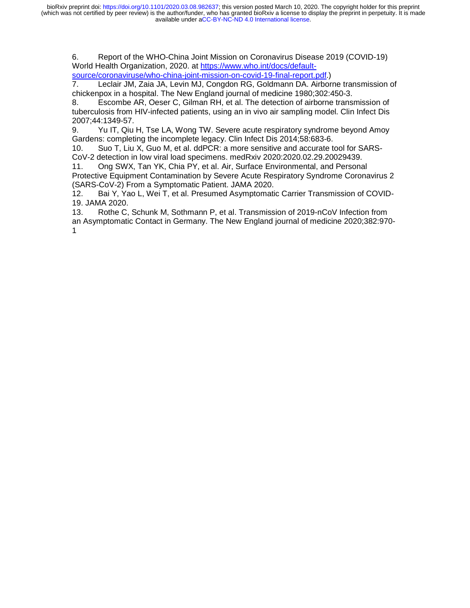available under [aCC-BY-NC-ND 4.0 International license.](http://creativecommons.org/licenses/by-nc-nd/4.0/) (which was not certified by peer review) is the author/funder, who has granted bioRxiv a license to display the preprint in perpetuity. It is made bioRxiv preprint doi: [https://doi.org/10.1101/2020.03.08.982637;](https://doi.org/10.1101/2020.03.08.982637) this version posted March 10, 2020. The copyright holder for this preprint

6. Report of the WHO-China Joint Mission on Coronavirus Disease 2019 (COVID-19) World Health Organization, 2020. at https://www.who.int/docs/default-

source/coronaviruse/who-china-joint-mission-on-covid-19-final-report.pdf.)<br>7. Leclair JM, Zaia JA, Levin MJ, Congdon RG, Goldmann DA. Airbor Leclair JM, Zaia JA, Levin MJ, Congdon RG, Goldmann DA. Airborne transmission of

chickenpox in a hospital. The New England journal of medicine 1980;302:450-3.

8. Escombe AR, Oeser C, Gilman RH, et al. The detection of airborne transmission of tuberculosis from HIV-infected patients, using an in vivo air sampling model. Clin Infect Dis 2007;44:1349-57.

9. Yu IT, Qiu H, Tse LA, Wong TW. Severe acute respiratory syndrome beyond Amoy Gardens: completing the incomplete legacy. Clin Infect Dis 2014;58:683-6.

10. Suo T, Liu X, Guo M, et al. ddPCR: a more sensitive and accurate tool for SARS-CoV-2 detection in low viral load specimens. medRxiv 2020:2020.02.29.20029439.

11. Ong SWX, Tan YK, Chia PY, et al. Air, Surface Environmental, and Personal Protective Equipment Contamination by Severe Acute Respiratory Syndrome Coronavirus 2 (SARS-CoV-2) From a Symptomatic Patient. JAMA 2020.

12. Bai Y, Yao L, Wei T, et al. Presumed Asymptomatic Carrier Transmission of COVID-19. JAMA 2020.

13. Rothe C, Schunk M, Sothmann P, et al. Transmission of 2019-nCoV Infection from an Asymptomatic Contact in Germany. The New England journal of medicine 2020;382:970- 1